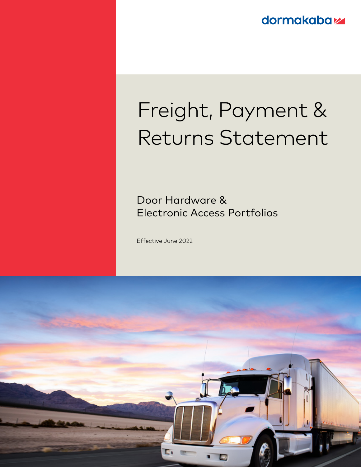**dormakabaz** 

# Freight, Payment & Returns Statement

Door Hardware & Electronic Access Portfolios

Effective June 2022

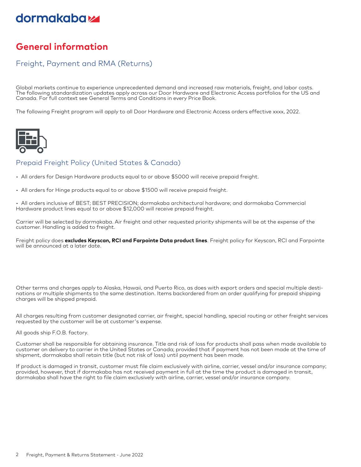## dormakaba<sub>z</sub>

## **General information**

#### Freight, Payment and RMA (Returns)

Global markets continue to experience unprecedented demand and increased raw materials, freight, and labor costs. The following standardization updates apply across our Door Hardware and Electronic Access portfolios for the US and Canada. For full context see General Terms and Conditions in every Price Book.

The following Freight program will apply to all Door Hardware and Electronic Access orders effective xxxx, 2022.



#### Prepaid Freight Policy (United States & Canada)

- All orders for Design Hardware products equal to or above \$5000 will receive prepaid freight.
- All orders for Hinge products equal to or above \$1500 will receive prepaid freight.

• All orders inclusive of BEST; BEST PRECISION; dormakaba architectural hardware; and dormakaba Commercial Hardware product lines equal to or above \$12,000 will receive prepaid freight.

Carrier will be selected by dormakaba. Air freight and other requested priority shipments will be at the expense of the customer. Handling is added to freight.

Freight policy does **excludes Keyscan, RCI and Farpointe Data product lines**. Freight policy for Keyscan, RCI and Farpointe will be announced at a later date.

Other terms and charges apply to Alaska, Hawaii, and Puerto Rico, as does with export orders and special multiple destinations or multiple shipments to the same destination. Items backordered from an order qualifying for prepaid shipping charges will be shipped prepaid.

All charges resulting from customer designated carrier, air freight, special handling, special routing or other freight services requested by the customer will be at customer's expense.

All goods ship F.O.B. factory.

Customer shall be responsible for obtaining insurance. Title and risk of loss for products shall pass when made available to customer on delivery to carrier in the United States or Canada; provided that if payment has not been made at the time of shipment, dormakaba shall retain title (but not risk of loss) until payment has been made.

If product is damaged in transit, customer must file claim exclusively with airline, carrier, vessel and/or insurance company; provided, however, that if dormakaba has not received payment in full at the time the product is damaged in transit, dormakaba shall have the right to file claim exclusively with airline, carrier, vessel and/or insurance company.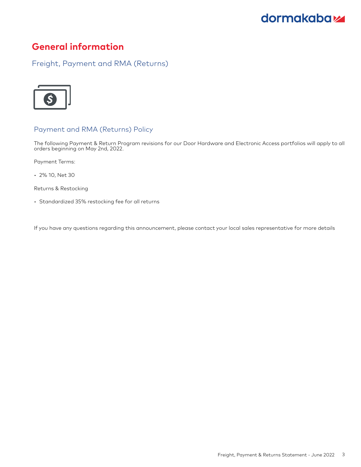## dormakaba<sub>z</sub>

### **General information**

Freight, Payment and RMA (Returns)



#### Payment and RMA (Returns) Policy

The following Payment & Return Program revisions for our Door Hardware and Electronic Access portfolios will apply to all orders beginning on May 2nd, 2022.

Payment Terms:

• 2% 10, Net 30

Returns & Restocking

• Standardized 35% restocking fee for all returns

If you have any questions regarding this announcement, please contact your local sales representative for more details